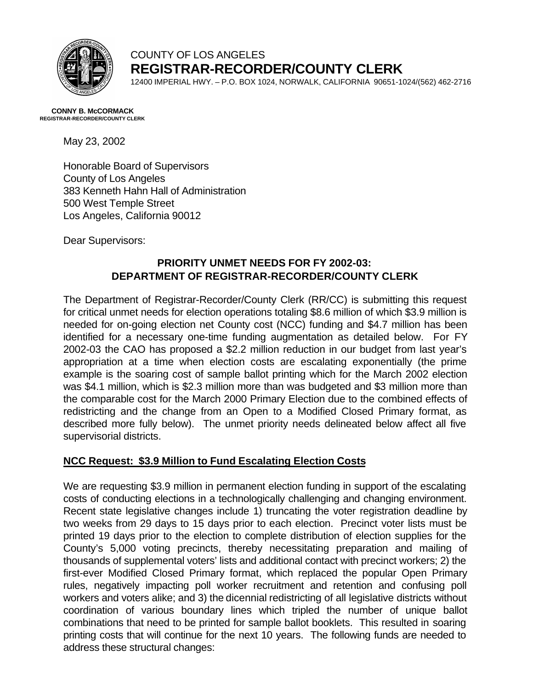

## COUNTY OF LOS ANGELES **REGISTRAR-RECORDER/COUNTY CLERK**

12400 IMPERIAL HWY. – P.O. BOX 1024, NORWALK, CALIFORNIA 90651-1024/(562) 462-2716

#### **CONNY B. McCORMACK REGISTRAR-RECORDER/COUNTY CLERK**

May 23, 2002

Honorable Board of Supervisors County of Los Angeles 383 Kenneth Hahn Hall of Administration 500 West Temple Street Los Angeles, California 90012

Dear Supervisors:

# **PRIORITY UNMET NEEDS FOR FY 2002-03: DEPARTMENT OF REGISTRAR-RECORDER/COUNTY CLERK**

The Department of Registrar-Recorder/County Clerk (RR/CC) is submitting this request for critical unmet needs for election operations totaling \$8.6 million of which \$3.9 million is needed for on-going election net County cost (NCC) funding and \$4.7 million has been identified for a necessary one-time funding augmentation as detailed below. For FY 2002-03 the CAO has proposed a \$2.2 million reduction in our budget from last year's appropriation at a time when election costs are escalating exponentially (the prime example is the soaring cost of sample ballot printing which for the March 2002 election was \$4.1 million, which is \$2.3 million more than was budgeted and \$3 million more than the comparable cost for the March 2000 Primary Election due to the combined effects of redistricting and the change from an Open to a Modified Closed Primary format, as described more fully below). The unmet priority needs delineated below affect all five supervisorial districts.

## **NCC Request: \$3.9 Million to Fund Escalating Election Costs**

We are requesting \$3.9 million in permanent election funding in support of the escalating costs of conducting elections in a technologically challenging and changing environment. Recent state legislative changes include 1) truncating the voter registration deadline by two weeks from 29 days to 15 days prior to each election. Precinct voter lists must be printed 19 days prior to the election to complete distribution of election supplies for the County's 5,000 voting precincts, thereby necessitating preparation and mailing of thousands of supplemental voters' lists and additional contact with precinct workers; 2) the first-ever Modified Closed Primary format, which replaced the popular Open Primary rules, negatively impacting poll worker recruitment and retention and confusing poll workers and voters alike; and 3) the dicennial redistricting of all legislative districts without coordination of various boundary lines which tripled the number of unique ballot combinations that need to be printed for sample ballot booklets. This resulted in soaring printing costs that will continue for the next 10 years. The following funds are needed to address these structural changes: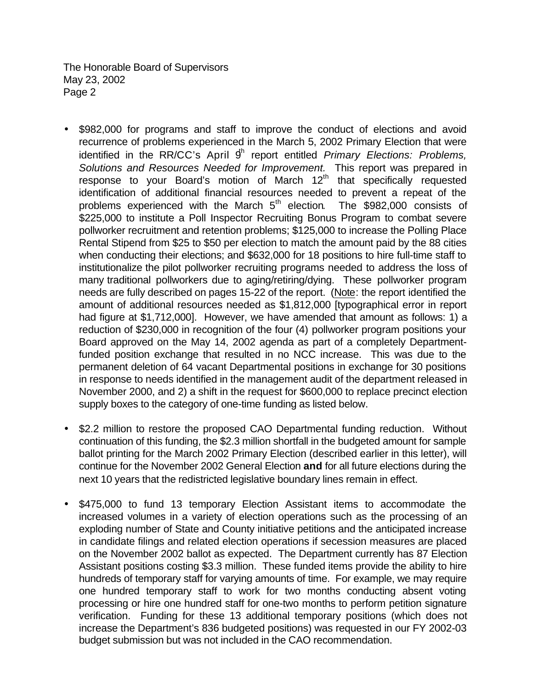The Honorable Board of Supervisors May 23, 2002 Page 2

- \$982,000 for programs and staff to improve the conduct of elections and avoid recurrence of problems experienced in the March 5, 2002 Primary Election that were identified in the RR/CC's April 9<sup>th</sup> report entitled *Primary Elections: Problems*, *Solutions and Resources Needed for Improvement.* This report was prepared in response to your Board's motion of March 12<sup>th</sup> that specifically requested identification of additional financial resources needed to prevent a repeat of the problems experienced with the March 5<sup>th</sup> election. The \$982,000 consists of \$225,000 to institute a Poll Inspector Recruiting Bonus Program to combat severe pollworker recruitment and retention problems; \$125,000 to increase the Polling Place Rental Stipend from \$25 to \$50 per election to match the amount paid by the 88 cities when conducting their elections; and \$632,000 for 18 positions to hire full-time staff to institutionalize the pilot pollworker recruiting programs needed to address the loss of many traditional pollworkers due to aging/retiring/dying. These pollworker program needs are fully described on pages 15-22 of the report. (Note: the report identified the amount of additional resources needed as \$1,812,000 [typographical error in report had figure at \$1,712,000]. However, we have amended that amount as follows: 1) a reduction of \$230,000 in recognition of the four (4) pollworker program positions your Board approved on the May 14, 2002 agenda as part of a completely Departmentfunded position exchange that resulted in no NCC increase. This was due to the permanent deletion of 64 vacant Departmental positions in exchange for 30 positions in response to needs identified in the management audit of the department released in November 2000, and 2) a shift in the request for \$600,000 to replace precinct election supply boxes to the category of one-time funding as listed below.
- \$2.2 million to restore the proposed CAO Departmental funding reduction. Without continuation of this funding, the \$2.3 million shortfall in the budgeted amount for sample ballot printing for the March 2002 Primary Election (described earlier in this letter), will continue for the November 2002 General Election **and** for all future elections during the next 10 years that the redistricted legislative boundary lines remain in effect.
- \$475,000 to fund 13 temporary Election Assistant items to accommodate the increased volumes in a variety of election operations such as the processing of an exploding number of State and County initiative petitions and the anticipated increase in candidate filings and related election operations if secession measures are placed on the November 2002 ballot as expected. The Department currently has 87 Election Assistant positions costing \$3.3 million. These funded items provide the ability to hire hundreds of temporary staff for varying amounts of time. For example, we may require one hundred temporary staff to work for two months conducting absent voting processing or hire one hundred staff for one-two months to perform petition signature verification. Funding for these 13 additional temporary positions (which does not increase the Department's 836 budgeted positions) was requested in our FY 2002-03 budget submission but was not included in the CAO recommendation.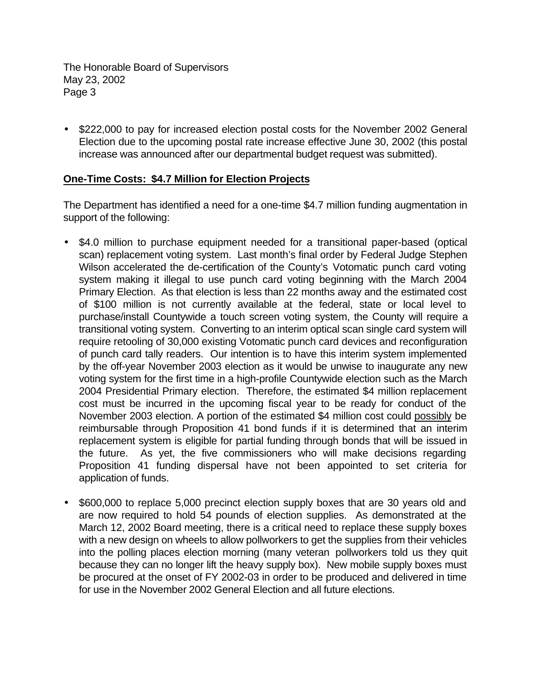The Honorable Board of Supervisors May 23, 2002 Page 3

• \$222,000 to pay for increased election postal costs for the November 2002 General Election due to the upcoming postal rate increase effective June 30, 2002 (this postal increase was announced after our departmental budget request was submitted).

#### **One-Time Costs: \$4.7 Million for Election Projects**

The Department has identified a need for a one-time \$4.7 million funding augmentation in support of the following:

- \$4.0 million to purchase equipment needed for a transitional paper-based (optical scan) replacement voting system. Last month's final order by Federal Judge Stephen Wilson accelerated the de-certification of the County's Votomatic punch card voting system making it illegal to use punch card voting beginning with the March 2004 Primary Election. As that election is less than 22 months away and the estimated cost of \$100 million is not currently available at the federal, state or local level to purchase/install Countywide a touch screen voting system, the County will require a transitional voting system. Converting to an interim optical scan single card system will require retooling of 30,000 existing Votomatic punch card devices and reconfiguration of punch card tally readers. Our intention is to have this interim system implemented by the off-year November 2003 election as it would be unwise to inaugurate any new voting system for the first time in a high-profile Countywide election such as the March 2004 Presidential Primary election. Therefore, the estimated \$4 million replacement cost must be incurred in the upcoming fiscal year to be ready for conduct of the November 2003 election. A portion of the estimated \$4 million cost could possibly be reimbursable through Proposition 41 bond funds if it is determined that an interim replacement system is eligible for partial funding through bonds that will be issued in the future. As yet, the five commissioners who will make decisions regarding Proposition 41 funding dispersal have not been appointed to set criteria for application of funds.
- \$600,000 to replace 5,000 precinct election supply boxes that are 30 years old and are now required to hold 54 pounds of election supplies. As demonstrated at the March 12, 2002 Board meeting, there is a critical need to replace these supply boxes with a new design on wheels to allow pollworkers to get the supplies from their vehicles into the polling places election morning (many veteran pollworkers told us they quit because they can no longer lift the heavy supply box). New mobile supply boxes must be procured at the onset of FY 2002-03 in order to be produced and delivered in time for use in the November 2002 General Election and all future elections.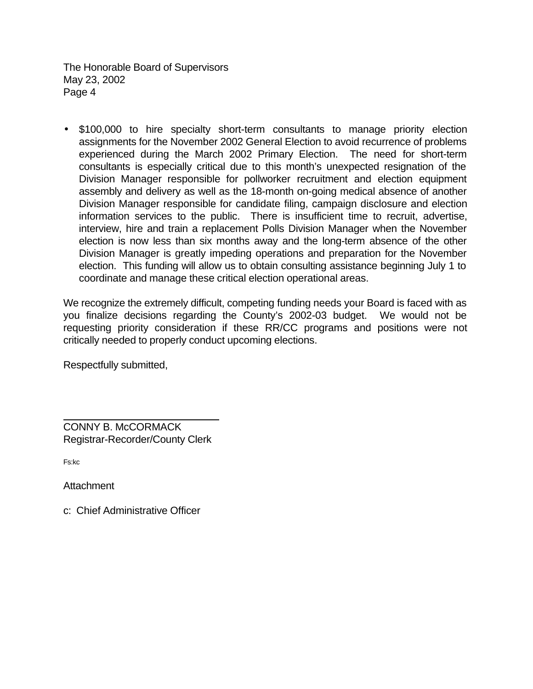The Honorable Board of Supervisors May 23, 2002 Page 4

• \$100,000 to hire specialty short-term consultants to manage priority election assignments for the November 2002 General Election to avoid recurrence of problems experienced during the March 2002 Primary Election. The need for short-term consultants is especially critical due to this month's unexpected resignation of the Division Manager responsible for pollworker recruitment and election equipment assembly and delivery as well as the 18-month on-going medical absence of another Division Manager responsible for candidate filing, campaign disclosure and election information services to the public. There is insufficient time to recruit, advertise, interview, hire and train a replacement Polls Division Manager when the November election is now less than six months away and the long-term absence of the other Division Manager is greatly impeding operations and preparation for the November election. This funding will allow us to obtain consulting assistance beginning July 1 to coordinate and manage these critical election operational areas.

We recognize the extremely difficult, competing funding needs your Board is faced with as you finalize decisions regarding the County's 2002-03 budget. We would not be requesting priority consideration if these RR/CC programs and positions were not critically needed to properly conduct upcoming elections.

Respectfully submitted,

CONNY B. McCORMACK Registrar-Recorder/County Clerk

Fs:kc

l

**Attachment** 

c: Chief Administrative Officer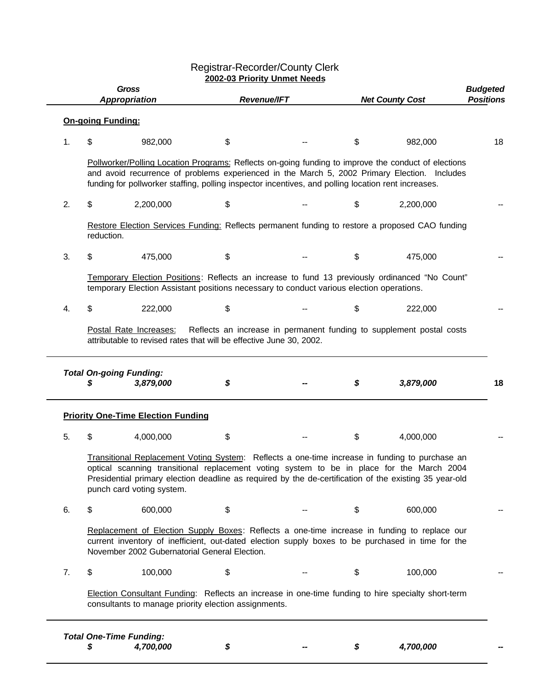#### Registrar-Recorder/County Clerk **2002-03 Priority Unmet Needs**

| <b>Gross</b><br><b>Appropriation</b> |                                                                                                                                                                                                                                                                                                                                    |                                                                                                                    |    | <b>Revenue/IFT</b> |    | <b>Net County Cost</b>                                                                             | <b>Budgeted</b><br><b>Positions</b> |
|--------------------------------------|------------------------------------------------------------------------------------------------------------------------------------------------------------------------------------------------------------------------------------------------------------------------------------------------------------------------------------|--------------------------------------------------------------------------------------------------------------------|----|--------------------|----|----------------------------------------------------------------------------------------------------|-------------------------------------|
|                                      | <b>On-going Funding:</b>                                                                                                                                                                                                                                                                                                           |                                                                                                                    |    |                    |    |                                                                                                    |                                     |
| 1.                                   | \$                                                                                                                                                                                                                                                                                                                                 | 982,000                                                                                                            | \$ |                    | \$ | 982,000                                                                                            | 18                                  |
|                                      | Pollworker/Polling Location Programs: Reflects on-going funding to improve the conduct of elections<br>and avoid recurrence of problems experienced in the March 5, 2002 Primary Election. Includes<br>funding for pollworker staffing, polling inspector incentives, and polling location rent increases.                         |                                                                                                                    |    |                    |    |                                                                                                    |                                     |
| 2.                                   | \$                                                                                                                                                                                                                                                                                                                                 | 2,200,000                                                                                                          | \$ |                    | \$ | 2,200,000                                                                                          |                                     |
|                                      | Restore Election Services Funding: Reflects permanent funding to restore a proposed CAO funding<br>reduction.                                                                                                                                                                                                                      |                                                                                                                    |    |                    |    |                                                                                                    |                                     |
| 3.                                   | \$                                                                                                                                                                                                                                                                                                                                 | 475,000                                                                                                            | \$ |                    | \$ | 475,000                                                                                            |                                     |
|                                      | Temporary Election Positions: Reflects an increase to fund 13 previously ordinanced "No Count"<br>temporary Election Assistant positions necessary to conduct various election operations.                                                                                                                                         |                                                                                                                    |    |                    |    |                                                                                                    |                                     |
| 4.                                   | \$                                                                                                                                                                                                                                                                                                                                 | 222,000                                                                                                            | \$ |                    | \$ | 222,000                                                                                            |                                     |
|                                      |                                                                                                                                                                                                                                                                                                                                    | attributable to revised rates that will be effective June 30, 2002.<br><b>Total On-going Funding:</b><br>3,879,000 | \$ |                    | \$ | 3,879,000                                                                                          | 18                                  |
|                                      |                                                                                                                                                                                                                                                                                                                                    | <b>Priority One-Time Election Funding</b>                                                                          |    |                    |    |                                                                                                    |                                     |
| 5.                                   | \$                                                                                                                                                                                                                                                                                                                                 | 4,000,000                                                                                                          | \$ |                    | \$ | 4,000,000                                                                                          |                                     |
|                                      | Transitional Replacement Voting System: Reflects a one-time increase in funding to purchase an<br>optical scanning transitional replacement voting system to be in place for the March 2004<br>Presidential primary election deadline as required by the de-certification of the existing 35 year-old<br>punch card voting system. |                                                                                                                    |    |                    |    |                                                                                                    |                                     |
| 6.                                   | \$                                                                                                                                                                                                                                                                                                                                 | 600,000                                                                                                            | \$ |                    | \$ | 600,000                                                                                            |                                     |
|                                      | Replacement of Election Supply Boxes: Reflects a one-time increase in funding to replace our<br>current inventory of inefficient, out-dated election supply boxes to be purchased in time for the<br>November 2002 Gubernatorial General Election.                                                                                 |                                                                                                                    |    |                    |    |                                                                                                    |                                     |
| 7.                                   | \$                                                                                                                                                                                                                                                                                                                                 |                                                                                                                    |    |                    | \$ | 100,000                                                                                            |                                     |
|                                      |                                                                                                                                                                                                                                                                                                                                    | 100,000                                                                                                            | \$ |                    |    |                                                                                                    |                                     |
|                                      |                                                                                                                                                                                                                                                                                                                                    | consultants to manage priority election assignments.                                                               |    |                    |    | Election Consultant Funding: Reflects an increase in one-time funding to hire specialty short-term |                                     |